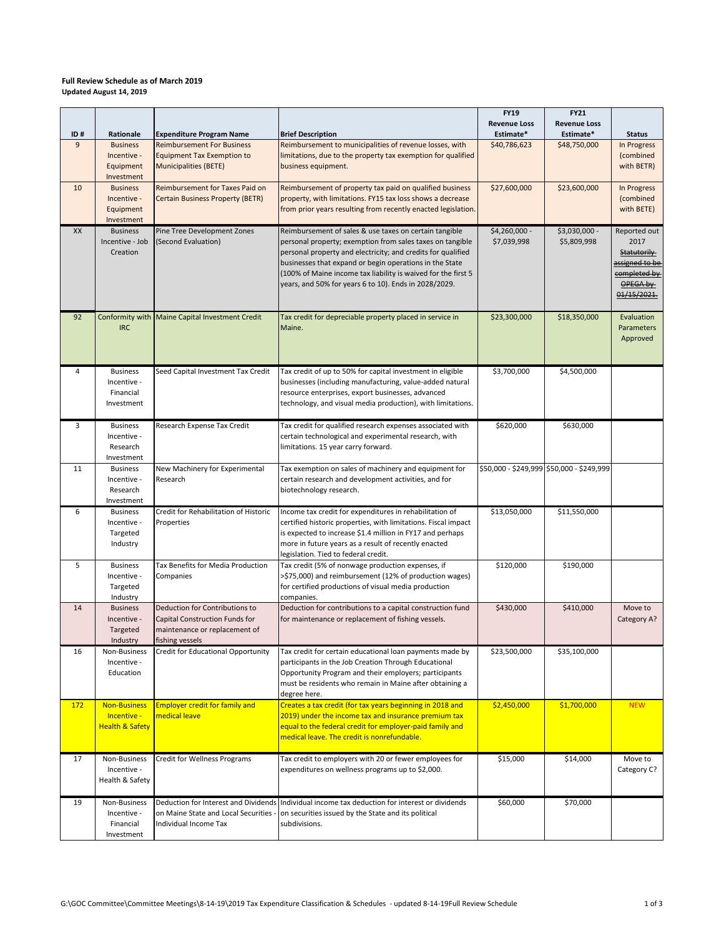## **Full Review Schedule as of March 2019 Updated August 14, 2019**

| ID# | Rationale                                                        | <b>Expenditure Program Name</b>                                                                                      | <b>Brief Description</b>                                                                                                                                                                                                                                                                                                                                                 | <b>FY19</b><br><b>Revenue Loss</b><br>Estimate* | <b>FY21</b><br><b>Revenue Loss</b><br>Estimate* | <b>Status</b>                                                                                    |
|-----|------------------------------------------------------------------|----------------------------------------------------------------------------------------------------------------------|--------------------------------------------------------------------------------------------------------------------------------------------------------------------------------------------------------------------------------------------------------------------------------------------------------------------------------------------------------------------------|-------------------------------------------------|-------------------------------------------------|--------------------------------------------------------------------------------------------------|
| 9   | <b>Business</b><br>Incentive -<br>Equipment<br>Investment        | <b>Reimbursement For Business</b><br><b>Equipment Tax Exemption to</b><br><b>Municipalities (BETE)</b>               | Reimbursement to municipalities of revenue losses, with<br>limitations, due to the property tax exemption for qualified<br>business equipment.                                                                                                                                                                                                                           | \$40,786,623                                    | \$48,750,000                                    | In Progress<br>(combined<br>with BETR)                                                           |
| 10  | <b>Business</b><br>Incentive -<br>Equipment<br>Investment        | Reimbursement for Taxes Paid on<br><b>Certain Business Property (BETR)</b>                                           | Reimbursement of property tax paid on qualified business<br>property, with limitations. FY15 tax loss shows a decrease<br>from prior years resulting from recently enacted legislation.                                                                                                                                                                                  | \$27,600,000                                    | \$23,600,000                                    | In Progress<br>(combined<br>with BETE)                                                           |
| XX  | <b>Business</b><br>Incentive - Job<br>Creation                   | Pine Tree Development Zones<br>(Second Evaluation)                                                                   | Reimbursement of sales & use taxes on certain tangible<br>personal property; exemption from sales taxes on tangible<br>personal property and electricity; and credits for qualified<br>businesses that expand or begin operations in the State<br>(100% of Maine income tax liability is waived for the first 5<br>years, and 50% for years 6 to 10). Ends in 2028/2029. | \$4,260,000 -<br>\$7,039,998                    | \$3,030,000 -<br>\$5,809,998                    | Reported out<br>2017<br>Statutorily<br>assigned to be<br>completed by<br>OPEGA by<br>01/15/2021. |
| 92  | <b>IRC</b>                                                       | Conformity with Maine Capital Investment Credit                                                                      | Tax credit for depreciable property placed in service in<br>Maine.                                                                                                                                                                                                                                                                                                       | \$23,300,000                                    | \$18,350,000                                    | Evaluation<br>Parameters<br>Approved                                                             |
| 4   | <b>Business</b><br>Incentive -<br>Financial<br>Investment        | Seed Capital Investment Tax Credit                                                                                   | Tax credit of up to 50% for capital investment in eligible<br>businesses (including manufacturing, value-added natural<br>resource enterprises, export businesses, advanced<br>technology, and visual media production), with limitations.                                                                                                                               | \$3,700,000                                     | \$4,500,000                                     |                                                                                                  |
| 3   | <b>Business</b><br>Incentive -<br>Research<br>Investment         | Research Expense Tax Credit                                                                                          | Tax credit for qualified research expenses associated with<br>certain technological and experimental research, with<br>limitations. 15 year carry forward.                                                                                                                                                                                                               | \$620,000                                       | \$630,000                                       |                                                                                                  |
| 11  | <b>Business</b><br>Incentive -<br>Research<br>Investment         | New Machinery for Experimental<br>Research                                                                           | Tax exemption on sales of machinery and equipment for<br>certain research and development activities, and for<br>biotechnology research.                                                                                                                                                                                                                                 |                                                 | \$50,000 - \$249,999 \$50,000 - \$249,999       |                                                                                                  |
| 6   | <b>Business</b><br>Incentive -<br>Targeted<br>Industry           | Credit for Rehabilitation of Historic<br>Properties                                                                  | Income tax credit for expenditures in rehabilitation of<br>certified historic properties, with limitations. Fiscal impact<br>is expected to increase \$1.4 million in FY17 and perhaps<br>more in future years as a result of recently enacted<br>legislation. Tied to federal credit.                                                                                   | \$13,050,000                                    | \$11,550,000                                    |                                                                                                  |
| 5   | <b>Business</b><br>Incentive -<br>Targeted<br>Industry           | Tax Benefits for Media Production<br>Companies                                                                       | Tax credit (5% of nonwage production expenses, if<br>>\$75,000) and reimbursement (12% of production wages)<br>for certified productions of visual media production<br>companies.                                                                                                                                                                                        | \$120,000                                       | \$190,000                                       |                                                                                                  |
| 14  | <b>Business</b><br>Incentive -<br>Targeted<br>Industry           | Deduction for Contributions to<br>Capital Construction Funds for<br>maintenance or replacement of<br>fishing vessels | Deduction for contributions to a capital construction fund<br>for maintenance or replacement of fishing vessels.                                                                                                                                                                                                                                                         | \$430,000                                       | \$410,000                                       | Move to<br>Category A?                                                                           |
| 16  | Non-Business<br>Incentive -<br>Education                         | Credit for Educational Opportunity                                                                                   | Tax credit for certain educational loan payments made by<br>participants in the Job Creation Through Educational<br>Opportunity Program and their employers; participants<br>must be residents who remain in Maine after obtaining a<br>degree here.                                                                                                                     | \$23,500,000                                    | \$35,100,000                                    |                                                                                                  |
| 172 | <b>Non-Business</b><br>Incentive -<br><b>Health &amp; Safety</b> | <b>Employer credit for family and</b><br>medical leave                                                               | Creates a tax credit (for tax years beginning in 2018 and<br>2019) under the income tax and insurance premium tax<br>equal to the federal credit for employer-paid family and<br>medical leave. The credit is nonrefundable.                                                                                                                                             | \$2,450,000                                     | \$1,700,000                                     | <b>NEW</b>                                                                                       |
| 17  | Non-Business<br>Incentive -<br>Health & Safety                   | <b>Credit for Wellness Programs</b>                                                                                  | Tax credit to employers with 20 or fewer employees for<br>expenditures on wellness programs up to \$2,000.                                                                                                                                                                                                                                                               | \$15,000                                        | \$14,000                                        | Move to<br>Category C?                                                                           |
| 19  | Non-Business<br>Incentive -<br>Financial<br>Investment           | on Maine State and Local Securities -<br>Individual Income Tax                                                       | Deduction for Interest and Dividends Individual income tax deduction for interest or dividends<br>on securities issued by the State and its political<br>subdivisions.                                                                                                                                                                                                   | \$60,000                                        | \$70,000                                        |                                                                                                  |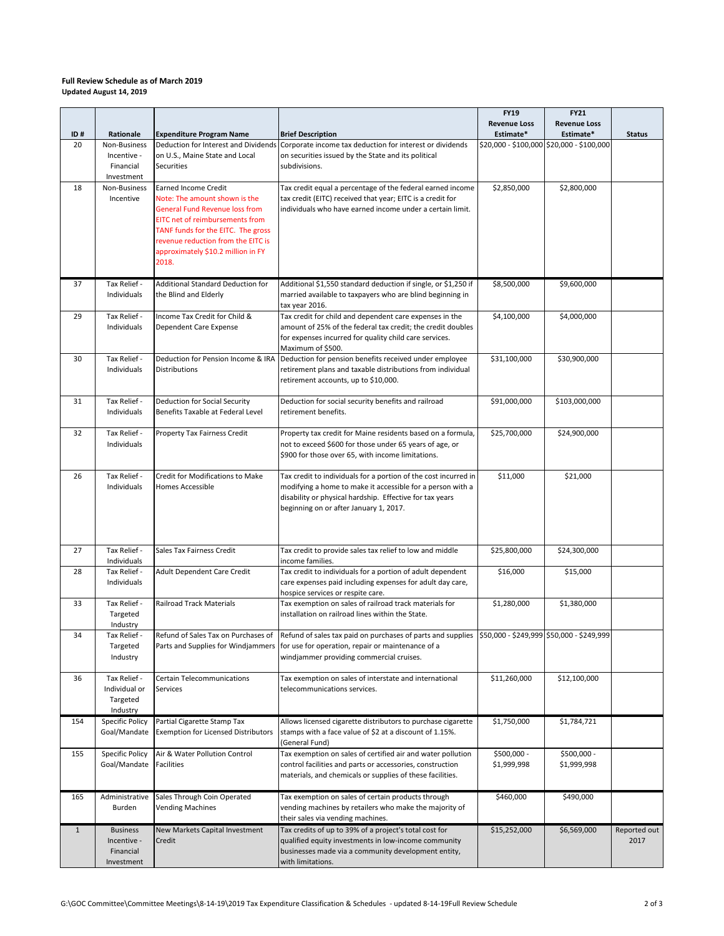## **Full Review Schedule as of March 2019 Updated August 14, 2019**

|         |                                                           |                                                                                                                                                                                                                                                                            |                                                                                                                                                                                                                                                                                 | FY19                             | <b>FY21</b>                               |                      |
|---------|-----------------------------------------------------------|----------------------------------------------------------------------------------------------------------------------------------------------------------------------------------------------------------------------------------------------------------------------------|---------------------------------------------------------------------------------------------------------------------------------------------------------------------------------------------------------------------------------------------------------------------------------|----------------------------------|-------------------------------------------|----------------------|
| ID#     | Rationale                                                 | <b>Expenditure Program Name</b>                                                                                                                                                                                                                                            | <b>Brief Description</b>                                                                                                                                                                                                                                                        | <b>Revenue Loss</b><br>Estimate* | <b>Revenue Loss</b><br>Estimate*          | <b>Status</b>        |
| 20      | Non-Business<br>Incentive -<br>Financial<br>Investment    | Deduction for Interest and Dividends<br>on U.S., Maine State and Local<br><b>Securities</b>                                                                                                                                                                                | Corporate income tax deduction for interest or dividends<br>on securities issued by the State and its political<br>subdivisions.                                                                                                                                                |                                  | \$20,000 - \$100,000 \$20,000 - \$100,000 |                      |
| 18      | Non-Business<br>Incentive                                 | <b>Earned Income Credit</b><br>Note: The amount shown is the<br><b>General Fund Revenue loss from</b><br><b>EITC</b> net of reimbursements from<br>TANF funds for the EITC. The gross<br>revenue reduction from the EITC is<br>approximately \$10.2 million in FY<br>2018. | Tax credit equal a percentage of the federal earned income<br>tax credit (EITC) received that year; EITC is a credit for<br>individuals who have earned income under a certain limit.                                                                                           | \$2,850,000                      | \$2,800,000                               |                      |
| 37      | Tax Relief -<br>Individuals                               | <b>Additional Standard Deduction for</b><br>the Blind and Elderly                                                                                                                                                                                                          | Additional \$1,550 standard deduction if single, or \$1,250 if<br>married available to taxpayers who are blind beginning in<br>tax year 2016.                                                                                                                                   | \$8,500,000                      | \$9,600,000                               |                      |
| 29      | Tax Relief -<br>Individuals                               | Income Tax Credit for Child &<br>Dependent Care Expense                                                                                                                                                                                                                    | Tax credit for child and dependent care expenses in the<br>amount of 25% of the federal tax credit; the credit doubles<br>for expenses incurred for quality child care services.<br>Maximum of \$500.                                                                           | \$4,100,000                      | \$4,000,000                               |                      |
| 30      | Tax Relief -<br>Individuals                               | Deduction for Pension Income & IRA<br><b>Distributions</b>                                                                                                                                                                                                                 | Deduction for pension benefits received under employee<br>retirement plans and taxable distributions from individual<br>retirement accounts, up to \$10,000.                                                                                                                    | \$31,100,000                     | \$30,900,000                              |                      |
| 31      | Tax Relief -<br>Individuals                               | Deduction for Social Security<br>Benefits Taxable at Federal Level                                                                                                                                                                                                         | Deduction for social security benefits and railroad<br>retirement benefits.                                                                                                                                                                                                     | \$91,000,000                     | \$103,000,000                             |                      |
| 32      | Tax Relief -<br>Individuals                               | Property Tax Fairness Credit                                                                                                                                                                                                                                               | Property tax credit for Maine residents based on a formula,<br>not to exceed \$600 for those under 65 years of age, or<br>\$900 for those over 65, with income limitations.                                                                                                     | \$25,700,000                     | \$24,900,000                              |                      |
| 26      | Tax Relief -<br>Individuals                               | Credit for Modifications to Make<br><b>Homes Accessible</b>                                                                                                                                                                                                                | Tax credit to individuals for a portion of the cost incurred in<br>modifying a home to make it accessible for a person with a<br>disability or physical hardship. Effective for tax years<br>beginning on or after January 1, 2017.                                             | \$11,000                         | \$21,000                                  |                      |
| 27      | Tax Relief -<br>Individuals                               | Sales Tax Fairness Credit                                                                                                                                                                                                                                                  | Tax credit to provide sales tax relief to low and middle<br>income families.                                                                                                                                                                                                    | \$25,800,000                     | \$24,300,000                              |                      |
| 28      | Tax Relief -<br>Individuals                               | Adult Dependent Care Credit                                                                                                                                                                                                                                                | Tax credit to individuals for a portion of adult dependent<br>care expenses paid including expenses for adult day care,<br>hospice services or respite care.                                                                                                                    | \$16,000                         | \$15,000                                  |                      |
| 33      | Tax Relief -<br>Targeted<br>Industry                      | <b>Railroad Track Materials</b>                                                                                                                                                                                                                                            | Tax exemption on sales of railroad track materials for<br>installation on railroad lines within the State.                                                                                                                                                                      | \$1,280,000                      | \$1,380,000                               |                      |
| 34      | Tax Relief -<br>Targeted<br>Industry                      |                                                                                                                                                                                                                                                                            | Refund of Sales Tax on Purchases of Refund of sales tax paid on purchases of parts and supplies \$50,000 - \$249,999 \$50,000 - \$249,999<br>Parts and Supplies for Windjammers   for use for operation, repair or maintenance of a<br>windjammer providing commercial cruises. |                                  |                                           |                      |
| 36      | Tax Relief -<br>Individual or<br>Targeted<br>Industry     | Certain Telecommunications<br>Services                                                                                                                                                                                                                                     | Tax exemption on sales of interstate and international<br>telecommunications services.                                                                                                                                                                                          | \$11,260,000                     | \$12,100,000                              |                      |
| 154     | Specific Policy<br>Goal/Mandate                           | Partial Cigarette Stamp Tax<br><b>Exemption for Licensed Distributors</b>                                                                                                                                                                                                  | Allows licensed cigarette distributors to purchase cigarette<br>stamps with a face value of \$2 at a discount of 1.15%.<br>(General Fund)                                                                                                                                       | \$1,750,000                      | \$1,784,721                               |                      |
| 155     | Specific Policy<br>Goal/Mandate                           | Air & Water Pollution Control<br><b>Facilities</b>                                                                                                                                                                                                                         | Tax exemption on sales of certified air and water pollution<br>control facilities and parts or accessories, construction<br>materials, and chemicals or supplies of these facilities.                                                                                           | \$500,000 -<br>\$1,999,998       | \$500,000 -<br>\$1,999,998                |                      |
| 165     | Administrative<br>Burden                                  | Sales Through Coin Operated<br><b>Vending Machines</b>                                                                                                                                                                                                                     | Tax exemption on sales of certain products through<br>vending machines by retailers who make the majority of<br>their sales via vending machines.                                                                                                                               | \$460,000                        | \$490,000                                 |                      |
| $\,1\,$ | <b>Business</b><br>Incentive -<br>Financial<br>Investment | New Markets Capital Investment<br>Credit                                                                                                                                                                                                                                   | Tax credits of up to 39% of a project's total cost for<br>qualified equity investments in low-income community<br>businesses made via a community development entity,<br>with limitations.                                                                                      | \$15,252,000                     | \$6,569,000                               | Reported out<br>2017 |